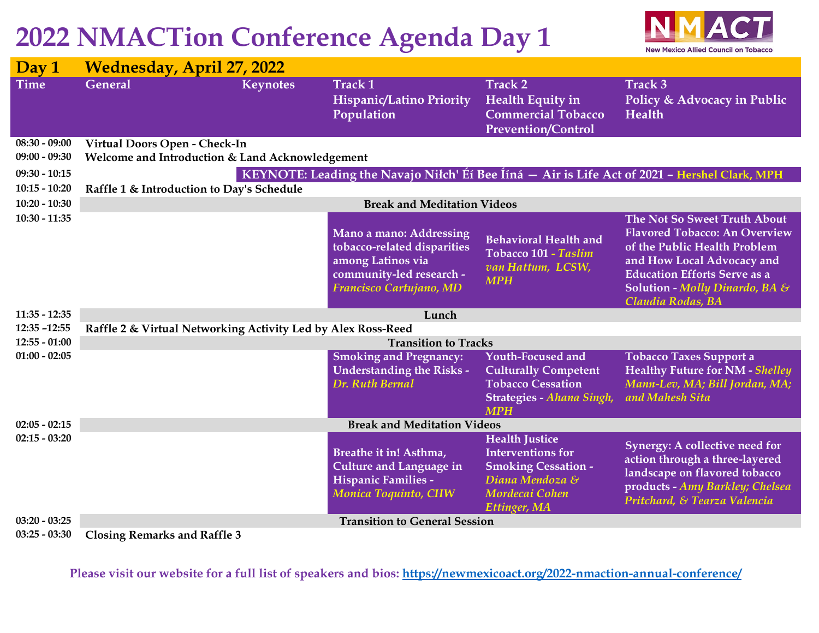## **2022 NMACTion Conference Agenda Day 1**



| Day 1           | <b>Wednesday, April 27, 2022</b>                                                              |                 |                                                                                                                                    |                                                                                                                                             |                                                                                                                                                                                                                                  |  |  |  |
|-----------------|-----------------------------------------------------------------------------------------------|-----------------|------------------------------------------------------------------------------------------------------------------------------------|---------------------------------------------------------------------------------------------------------------------------------------------|----------------------------------------------------------------------------------------------------------------------------------------------------------------------------------------------------------------------------------|--|--|--|
| <b>Time</b>     | <b>General</b>                                                                                | <b>Keynotes</b> | <b>Track 1</b><br><b>Hispanic/Latino Priority</b><br>Population                                                                    | <b>Track 2</b><br><b>Health Equity in</b><br><b>Commercial Tobacco</b><br><b>Prevention/Control</b>                                         | <b>Track 3</b><br>Policy & Advocacy in Public<br>Health                                                                                                                                                                          |  |  |  |
| $08:30 - 09:00$ | Virtual Doors Open - Check-In                                                                 |                 |                                                                                                                                    |                                                                                                                                             |                                                                                                                                                                                                                                  |  |  |  |
| $09:00 - 09:30$ | Welcome and Introduction & Land Acknowledgement                                               |                 |                                                                                                                                    |                                                                                                                                             |                                                                                                                                                                                                                                  |  |  |  |
| $09:30 - 10:15$ | KEYNOTE: Leading the Navajo Niłch' Éí Bee Ííná – Air is Life Act of 2021 - Hershel Clark, MPH |                 |                                                                                                                                    |                                                                                                                                             |                                                                                                                                                                                                                                  |  |  |  |
| $10:15 - 10:20$ | Raffle 1 & Introduction to Day's Schedule                                                     |                 |                                                                                                                                    |                                                                                                                                             |                                                                                                                                                                                                                                  |  |  |  |
| $10:20 - 10:30$ | <b>Break and Meditation Videos</b>                                                            |                 |                                                                                                                                    |                                                                                                                                             |                                                                                                                                                                                                                                  |  |  |  |
| $10:30 - 11:35$ |                                                                                               |                 | Mano a mano: Addressing<br>tobacco-related disparities<br>among Latinos via<br>community-led research -<br>Francisco Cartujano, MD | <b>Behavioral Health and</b><br>Tobacco 101 - Taslim<br>van Hattum, LCSW,<br><b>MPH</b>                                                     | The Not So Sweet Truth About<br><b>Flavored Tobacco: An Overview</b><br>of the Public Health Problem<br>and How Local Advocacy and<br><b>Education Efforts Serve as a</b><br>Solution - Molly Dinardo, BA &<br>Claudia Rodas, BA |  |  |  |
| $11:35 - 12:35$ | Lunch                                                                                         |                 |                                                                                                                                    |                                                                                                                                             |                                                                                                                                                                                                                                  |  |  |  |
| $12:35 - 12:55$ | Raffle 2 & Virtual Networking Activity Led by Alex Ross-Reed                                  |                 |                                                                                                                                    |                                                                                                                                             |                                                                                                                                                                                                                                  |  |  |  |
| $12:55 - 01:00$ | <b>Transition to Tracks</b>                                                                   |                 |                                                                                                                                    |                                                                                                                                             |                                                                                                                                                                                                                                  |  |  |  |
| $01:00 - 02:05$ |                                                                                               |                 | <b>Smoking and Pregnancy:</b><br><b>Understanding the Risks -</b><br>Dr. Ruth Bernal                                               | <b>Youth-Focused and</b><br><b>Culturally Competent</b><br><b>Tobacco Cessation</b><br>Strategies - Ahana Singh,<br><b>MPH</b>              | <b>Tobacco Taxes Support a</b><br><b>Healthy Future for NM - Shelley</b><br>Mann-Lev, MA; Bill Jordan, MA;<br>and Mahesh Sita                                                                                                    |  |  |  |
| $02:05 - 02:15$ | <b>Break and Meditation Videos</b>                                                            |                 |                                                                                                                                    |                                                                                                                                             |                                                                                                                                                                                                                                  |  |  |  |
| $02:15 - 03:20$ |                                                                                               |                 | Breathe it in! Asthma,<br><b>Culture and Language in</b><br>Hispanic Families -<br>Monica Toquinto, CHW                            | <b>Health Justice</b><br><b>Interventions for</b><br><b>Smoking Cessation -</b><br>Diana Mendoza &<br>Mordecai Cohen<br><b>Ettinger, MA</b> | Synergy: A collective need for<br>action through a three-layered<br>landscape on flavored tobacco<br>products - Amy Barkley; Chelsea<br>Pritchard, & Tearza Valencia                                                             |  |  |  |
| $03:20 - 03:25$ | <b>Transition to General Session</b>                                                          |                 |                                                                                                                                    |                                                                                                                                             |                                                                                                                                                                                                                                  |  |  |  |
| $03:25 - 03:30$ | <b>Closing Remarks and Raffle 3</b>                                                           |                 |                                                                                                                                    |                                                                                                                                             |                                                                                                                                                                                                                                  |  |  |  |

**Please visit our website for a full list of speakers and bios:<https://newmexicoact.org/2022-nmaction-annual-conference/>**